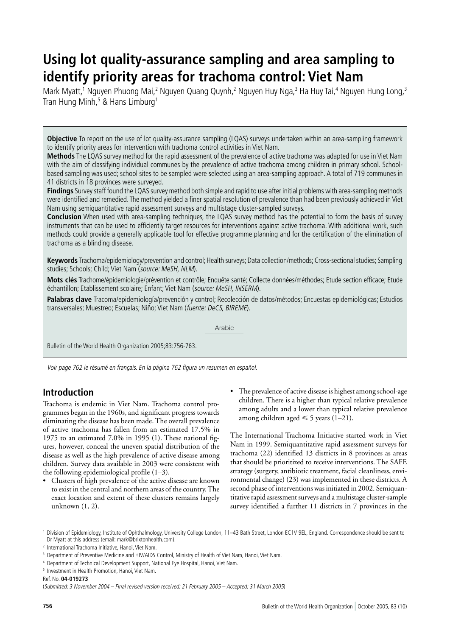# **Using lot quality-assurance sampling and area sampling to identify priority areas for trachoma control: Viet Nam**

Mark Myatt,<sup>1</sup> Nguyen Phuong Mai,<sup>2</sup> Nguyen Quang Quynh,<sup>2</sup> Nguyen Huy Nga,<sup>3</sup> Ha Huy Tai,<sup>4</sup> Nguyen Hung Long,<sup>3</sup> Tran Hung Minh,<sup>5</sup> & Hans Limburg<sup>1</sup>

**Objective** To report on the use of lot quality-assurance sampling (LQAS) surveys undertaken within an area-sampling framework to identify priority areas for intervention with trachoma control activities in Viet Nam.

**Methods** The LQAS survey method for the rapid assessment of the prevalence of active trachoma was adapted for use in Viet Nam with the aim of classifying individual communes by the prevalence of active trachoma among children in primary school. Schoolbased sampling was used; school sites to be sampled were selected using an area-sampling approach. A total of 719 communes in 41 districts in 18 provinces were surveyed.

**Findings** Survey staff found the LQAS survey method both simple and rapid to use after initial problems with area-sampling methods were identified and remedied. The method yielded a finer spatial resolution of prevalence than had been previously achieved in Viet Nam using semiquantitative rapid assessment surveys and multistage cluster-sampled surveys.

**Conclusion** When used with area-sampling techniques, the LQAS survey method has the potential to form the basis of survey instruments that can be used to efficiently target resources for interventions against active trachoma. With additional work, such methods could provide a generally applicable tool for effective programme planning and for the certification of the elimination of trachoma as a blinding disease.

**Keywords** Trachoma/epidemiology/prevention and control; Health surveys; Data collection/methods; Cross-sectional studies; Sampling studies; Schools; Child; Viet Nam (source: MeSH, NLM).

**Mots clés** Trachome/épidemiologie/prévention et contrôle; Enquête santé; Collecte données/méthodes; Etude section efficace; Etude échantillon; Etablissement scolaire; Enfant; Viet Nam (source: MeSH, INSERM).

**Palabras clave** Tracoma/epidemiología/prevención y control; Recolección de datos/métodos; Encuestas epidemiológicas; Estudios transversales; Muestreo; Escuelas; Niño; Viet Nam (fuente: DeCS, BIREME).

Arabic

Bulletin of the World Health Organization 2005;83:756-763.

Voir page 762 le résumé en français. En la página 762 figura un resumen en español.

# **Introduction**

Trachoma is endemic in Viet Nam. Trachoma control programmes began in the 1960s, and significant progress towards eliminating the disease has been made. The overall prevalence of active trachoma has fallen from an estimated 17.5% in 1975 to an estimated 7.0% in 1995 (1). These national figures, however, conceal the uneven spatial distribution of the disease as well as the high prevalence of active disease among children. Survey data available in 2003 were consistent with the following epidemiological profile (1–3).

- Clusters of high prevalence of the active disease are known to exist in the central and northern areas of the country. The exact location and extent of these clusters remains largely unknown (1, 2).
- The prevalence of active disease is highest among school-age children. There is a higher than typical relative prevalence among adults and a lower than typical relative prevalence among children aged  $\leq 5$  years (1–21).

The International Trachoma Initiative started work in Viet Nam in 1999. Semiquantitative rapid assessment surveys for trachoma (22) identified 13 districts in 8 provinces as areas that should be prioritized to receive interventions. The SAFE strategy (surgery, antibiotic treatment, facial cleanliness, environmental change) (23) was implemented in these districts. A second phase of interventions was initiated in 2002. Semiquantitative rapid assessment surveys and a multistage cluster-sample survey identified a further 11 districts in 7 provinces in the

<sup>1</sup> Division of Epidemiology, Institute of Ophthalmology, University College London, 11–43 Bath Street, London EC1V 9EL, England. Correspondence should be sent to Dr Myatt at this address (email: mark@brixtonhealth.com).

<sup>2</sup> International Trachoma Initiative, Hanoi, Viet Nam.

<sup>3</sup> Department of Preventive Medicine and HIV/AIDS Control, Ministry of Health of Viet Nam, Hanoi, Viet Nam.

<sup>4</sup> Department of Technical Development Support, National Eye Hospital, Hanoi, Viet Nam.

<sup>5</sup> Investment in Health Promotion, Hanoi, Viet Nam.

Ref. No. **04-019273**

<sup>(</sup>Submitted: 3 November 2004 – Final revised version received: 21 February 2005 – Accepted: 31 March 2005)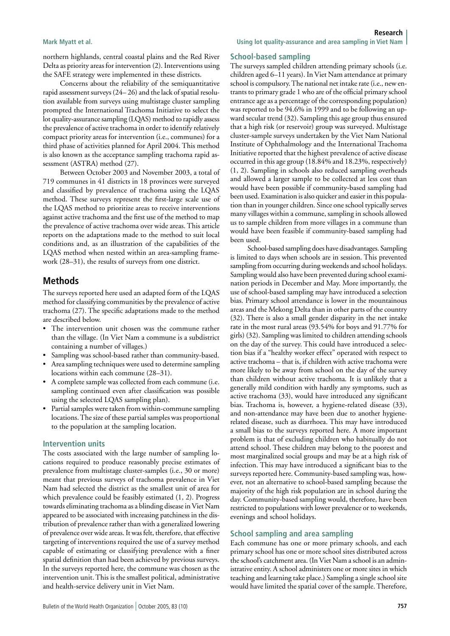northern highlands, central coastal plains and the Red River Delta as priority areas for intervention (2). Interventions using the SAFE strategy were implemented in these districts.

Concerns about the reliability of the semiquantitative rapid assessment surveys (24– 26) and the lack of spatial resolution available from surveys using multistage cluster sampling prompted the International Trachoma Initiative to select the lot quality-assurance sampling (LQAS) method to rapidly assess the prevalence of active trachoma in order to identify relatively compact priority areas for intervention (i.e., communes) for a third phase of activities planned for April 2004. This method is also known as the acceptance sampling trachoma rapid assessment (ASTRA) method (27).

Between October 2003 and November 2003, a total of 719 communes in 41 districts in 18 provinces were surveyed and classified by prevalence of trachoma using the LQAS method. These surveys represent the first-large scale use of the LQAS method to prioritize areas to receive interventions against active trachoma and the first use of the method to map the prevalence of active trachoma over wide areas. This article reports on the adaptations made to the method to suit local conditions and, as an illustration of the capabilities of the LQAS method when nested within an area-sampling framework (28–31), the results of surveys from one district.

## **Methods**

The surveys reported here used an adapted form of the LQAS method for classifying communities by the prevalence of active trachoma (27). The specific adaptations made to the method are described below.

- The intervention unit chosen was the commune rather than the village. (In Viet Nam a commune is a subdistrict containing a number of villages.)
- Sampling was school-based rather than community-based.
- Area sampling techniques were used to determine sampling locations within each commune (28–31).
- A complete sample was collected from each commune (i.e. sampling continued even after classification was possible using the selected LQAS sampling plan).
- Partial samples were taken from within-commune sampling locations. The size of these partial samples was proportional to the population at the sampling location.

#### **Intervention units**

The costs associated with the large number of sampling locations required to produce reasonably precise estimates of prevalence from multistage cluster-samples (i.e., 30 or more) meant that previous surveys of trachoma prevalence in Viet Nam had selected the district as the smallest unit of area for which prevalence could be feasibly estimated (1, 2). Progress towards eliminating trachoma as a blinding disease in Viet Nam appeared to be associated with increasing patchiness in the distribution of prevalence rather than with a generalized lowering of prevalence over wide areas. It was felt, therefore, that effective targeting of interventions required the use of a survey method capable of estimating or classifying prevalence with a finer spatial definition than had been achieved by previous surveys. In the surveys reported here, the commune was chosen as the intervention unit. This is the smallest political, administrative and health-service delivery unit in Viet Nam.

#### **Mark Myatt et al. Using lot quality-assurance and area sampling in Viet Nam**

#### **School-based sampling**

The surveys sampled children attending primary schools (i.e. children aged 6–11 years). In Viet Nam attendance at primary school is compulsory. The national net intake rate (i.e., new entrants to primary grade 1 who are of the official primary school entrance age as a percentage of the corresponding population) was reported to be 94.6% in 1999 and to be following an upward secular trend (32). Sampling this age group thus ensured that a high risk (or reservoir) group was surveyed. Multistage cluster-sample surveys undertaken by the Viet Nam National Institute of Ophthalmology and the International Trachoma Initiative reported that the highest prevalence of active disease occurred in this age group (18.84% and 18.23%, respectively) (1, 2). Sampling in schools also reduced sampling overheads and allowed a larger sample to be collected at less cost than would have been possible if community-based sampling had been used. Examination is also quicker and easier in this population than in younger children. Since one school typically serves many villages within a commune, sampling in schools allowed us to sample children from more villages in a commune than would have been feasible if community-based sampling had been used.

School-based sampling does have disadvantages. Sampling is limited to days when schools are in session. This prevented sampling from occurring during weekends and school holidays. Sampling would also have been prevented during school examination periods in December and May. More importantly, the use of school-based sampling may have introduced a selection bias. Primary school attendance is lower in the mountainous areas and the Mekong Delta than in other parts of the country (32). There is also a small gender disparity in the net intake rate in the most rural areas (93.54% for boys and 91.77% for girls) (32). Sampling was limited to children attending schools on the day of the survey. This could have introduced a selection bias if a "healthy worker effect" operated with respect to active trachoma – that is, if children with active trachoma were more likely to be away from school on the day of the survey than children without active trachoma. It is unlikely that a generally mild condition with hardly any symptoms, such as active trachoma (33), would have introduced any significant bias. Trachoma is, however, a hygiene-related disease (33), and non-attendance may have been due to another hygienerelated disease, such as diarrhoea. This may have introduced a small bias to the surveys reported here. A more important problem is that of excluding children who habitually do not attend school. These children may belong to the poorest and most marginalized social groups and may be at a high risk of infection. This may have introduced a significant bias to the surveys reported here. Community-based sampling was, however, not an alternative to school-based sampling because the majority of the high risk population are in school during the day. Community-based sampling would, therefore, have been restricted to populations with lower prevalence or to weekends, evenings and school holidays.

#### **School sampling and area sampling**

Each commune has one or more primary schools, and each primary school has one or more school sites distributed across the school's catchment area. (In Viet Nam a school is an administrative entity. A school administers one or more sites in which teaching and learning take place.) Sampling a single school site would have limited the spatial cover of the sample. Therefore,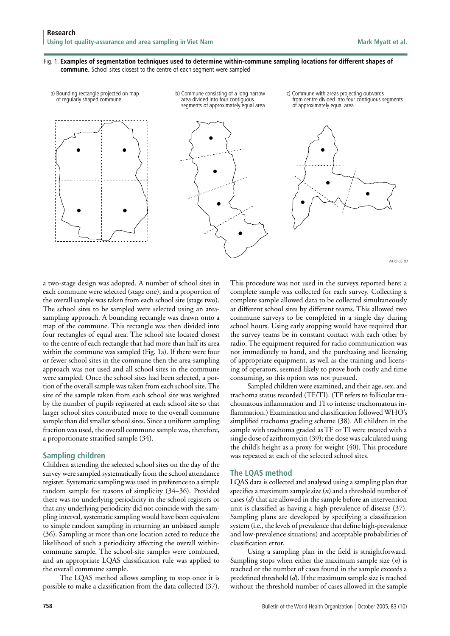#### Fig. 1. **Examples of segmentation techniques used to determine within-commune sampling locations for different shapes of commune.** School sites closest to the centre of each segment were sampled



*WHO 05.83*

a two-stage design was adopted. A number of school sites in each commune were selected (stage one), and a proportion of the overall sample was taken from each school site (stage two). The school sites to be sampled were selected using an areasampling approach. A bounding rectangle was drawn onto a map of the commune. This rectangle was then divided into four rectangles of equal area. The school site located closest to the centre of each rectangle that had more than half its area within the commune was sampled (Fig. 1a). If there were four or fewer school sites in the commune then the area-sampling approach was not used and all school sites in the commune were sampled. Once the school sites had been selected, a portion of the overall sample was taken from each school site. The size of the sample taken from each school site was weighted by the number of pupils registered at each school site so that larger school sites contributed more to the overall commune sample than did smaller school sites. Since a uniform sampling fraction was used, the overall commune sample was, therefore, a proportionate stratified sample (34).

# **Sampling children**

Children attending the selected school sites on the day of the survey were sampled systematically from the school attendance register. Systematic sampling was used in preference to a simple random sample for reasons of simplicity (34–36). Provided there was no underlying periodicity in the school registers or that any underlying periodicity did not coincide with the sampling interval, systematic sampling would have been equivalent to simple random sampling in returning an unbiased sample (36). Sampling at more than one location acted to reduce the likelihood of such a periodicity affecting the overall withincommune sample. The school-site samples were combined, and an appropriate LQAS classification rule was applied to the overall commune sample.

The LQAS method allows sampling to stop once it is possible to make a classification from the data collected (37).

This procedure was not used in the surveys reported here; a complete sample was collected for each survey. Collecting a complete sample allowed data to be collected simultaneously at different school sites by different teams. This allowed two commune surveys to be completed in a single day during school hours. Using early stopping would have required that the survey teams be in constant contact with each other by radio. The equipment required for radio communication was not immediately to hand, and the purchasing and licensing of appropriate equipment, as well as the training and licensing of operators, seemed likely to prove both costly and time consuming, so this option was not pursued.

Sampled children were examined, and their age, sex, and trachoma status recorded (TF/TI). (TF refers to follicular trachomatous inflammation and TI to intense trachomatous inflammation.) Examination and classification followed WHO's simplified trachoma grading scheme (38). All children in the sample with trachoma graded as TF or TI were treated with a single dose of azithromycin (39); the dose was calculated using the child's height as a proxy for weight (40). This procedure was repeated at each of the selected school sites.

# **The LQAS method**

LQAS data is collected and analysed using a sampling plan that specifies a maximum sample size (*n*) and a threshold number of cases (*d*) that are allowed in the sample before an intervention unit is classified as having a high prevalence of disease (37). Sampling plans are developed by specifying a classification system (i.e., the levels of prevalence that define high-prevalence and low-prevalence situations) and acceptable probabilities of classification error.

Using a sampling plan in the field is straightforward. Sampling stops when either the maximum sample size (*n*) is reached or the number of cases found in the sample exceeds a predefined threshold (*d*). If the maximum sample size is reached without the threshold number of cases allowed in the sample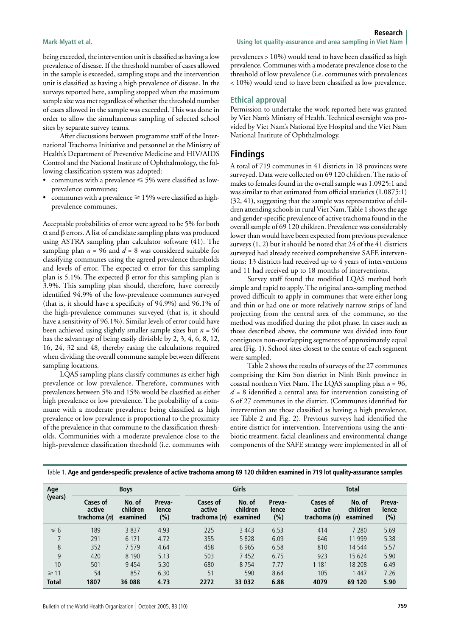being exceeded, the intervention unit is classified as having a low prevalence of disease. If the threshold number of cases allowed in the sample is exceeded, sampling stops and the intervention unit is classified as having a high prevalence of disease. In the surveys reported here, sampling stopped when the maximum sample size was met regardless of whether the threshold number of cases allowed in the sample was exceeded. This was done in order to allow the simultaneous sampling of selected school sites by separate survey teams.

After discussions between programme staff of the International Trachoma Initiative and personnel at the Ministry of Health's Department of Preventive Medicine and HIV/AIDS Control and the National Institute of Ophthalmology, the following classification system was adopted:

- communes with a prevalence  $\leq 5\%$  were classified as lowprevalence communes;
- communes with a prevalence  $\geq$  15% were classified as highprevalence communes.

Acceptable probabilities of error were agreed to be 5% for both α and β errors. A list of candidate sampling plans was produced using ASTRA sampling plan calculator software (41). The sampling plan *n* = 96 and *d* = 8 was considered suitable for classifying communes using the agreed prevalence thresholds and levels of error. The expected  $\alpha$  error for this sampling plan is 5.1%. The expected β error for this sampling plan is 3.9%. This sampling plan should, therefore, have correctly identified 94.9% of the low-prevalence communes surveyed (that is, it should have a specificity of 94.9%) and 96.1% of the high-prevalence communes surveyed (that is, it should have a sensitivity of 96.1%). Similar levels of error could have been achieved using slightly smaller sample sizes but *n* = 96 has the advantage of being easily divisible by 2, 3, 4, 6, 8, 12, 16, 24, 32 and 48, thereby easing the calculations required when dividing the overall commune sample between different sampling locations.

LQAS sampling plans classify communes as either high prevalence or low prevalence. Therefore, communes with prevalences between 5% and 15% would be classified as either high prevalence or low prevalence. The probability of a commune with a moderate prevalence being classified as high prevalence or low prevalence is proportional to the proximity of the prevalence in that commune to the classification thresholds. Communities with a moderate prevalence close to the high-prevalence classification threshold (i.e. communes with

prevalences > 10%) would tend to have been classified as high prevalence. Communes with a moderate prevalence close to the threshold of low prevalence (i.e. communes with prevalences < 10%) would tend to have been classified as low prevalence.

#### **Ethical approval**

Permission to undertake the work reported here was granted by Viet Nam's Ministry of Health. Technical oversight was provided by Viet Nam's National Eye Hospital and the Viet Nam National Institute of Ophthalmology.

## **Findings**

A total of 719 communes in 41 districts in 18 provinces were surveyed. Data were collected on 69 120 children. The ratio of males to females found in the overall sample was 1.0925:1 and was similar to that estimated from official statistics (1.0875:1) (32, 41), suggesting that the sample was representative of children attending schools in rural Viet Nam. Table 1 shows the age and gender-specific prevalence of active trachoma found in the overall sample of 69 120 children. Prevalence was considerably lower than would have been expected from previous prevalence surveys (1, 2) but it should be noted that 24 of the 41 districts surveyed had already received comprehensive SAFE interventions: 13 districts had received up to 4 years of interventions and 11 had received up to 18 months of interventions.

Survey staff found the modified LQAS method both simple and rapid to apply. The original area-sampling method proved difficult to apply in communes that were either long and thin or had one or more relatively narrow strips of land projecting from the central area of the commune, so the method was modified during the pilot phase. In cases such as those described above, the commune was divided into four contiguous non-overlapping segments of approximately equal area (Fig. 1). School sites closest to the centre of each segment were sampled.

Table 2 shows the results of surveys of the 27 communes comprising the Kim Son district in Ninh Binh province in coastal northern Viet Nam. The LQAS sampling plan *n* = 96, *d* = 8 identified a central area for intervention consisting of 6 of 27 communes in the district. (Communes identified for intervention are those classified as having a high prevalence, see Table 2 and Fig. 2). Previous surveys had identified the entire district for intervention. Interventions using the antibiotic treatment, facial cleanliness and environmental change components of the SAFE strategy were implemented in all of

| Age<br>(years) | <b>Boys</b>                        |                                |                        | Girls                              |                                |                        | <b>Total</b>                       |                                |                        |
|----------------|------------------------------------|--------------------------------|------------------------|------------------------------------|--------------------------------|------------------------|------------------------------------|--------------------------------|------------------------|
|                | Cases of<br>active<br>trachoma (n) | No. of<br>children<br>examined | Preva-<br>lence<br>(%) | Cases of<br>active<br>trachoma (n) | No. of<br>children<br>examined | Preva-<br>lence<br>(%) | Cases of<br>active<br>trachoma (n) | No. of<br>children<br>examined | Preva-<br>lence<br>(%) |
| $\leq 6$       | 189                                | 3837                           | 4.93                   | 225                                | 3 4 4 3                        | 6.53                   | 414                                | 7 2 8 0                        | 5.69                   |
|                | 291                                | 6 1 7 1                        | 4.72                   | 355                                | 5828                           | 6.09                   | 646                                | 11 9 9 9                       | 5.38                   |
| 8              | 352                                | 7 5 7 9                        | 4.64                   | 458                                | 6965                           | 6.58                   | 810                                | 14 544                         | 5.57                   |
| 9              | 420                                | 8 1 9 0                        | 5.13                   | 503                                | 7452                           | 6.75                   | 923                                | 15 6 24                        | 5.90                   |
| 10             | 501                                | 9454                           | 5.30                   | 680                                | 8 7 5 4                        | 7.77                   | 1 1 8 1                            | 18 208                         | 6.49                   |
| $\geq 11$      | 54                                 | 857                            | 6.30                   | 51                                 | 590                            | 8.64                   | 105                                | 1 4 4 7                        | 7.26                   |
| <b>Total</b>   | 1807                               | 36 088                         | 4.73                   | 2272                               | 33 0 32                        | 6.88                   | 4079                               | 69 120                         | 5.90                   |

Table 1. **Age and gender-specific prevalence of active trachoma among 69 120 children examined in 719 lot quality-assurance samples**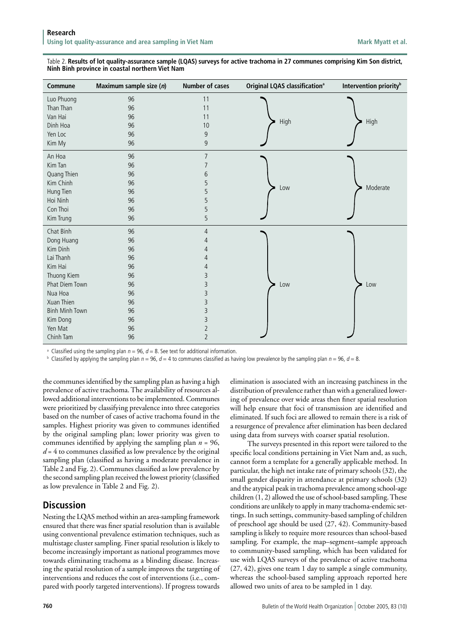| Table 2. Results of lot quality-assurance sample (LQAS) surveys for active trachoma in 27 communes comprising Kim Son district, |  |
|---------------------------------------------------------------------------------------------------------------------------------|--|
| Ninh Binh province in coastal northern Viet Nam                                                                                 |  |

| Commune               | Maximum sample size (n) | <b>Number of cases</b> | <b>Original LQAS classification<sup>a</sup></b> | Intervention priority <sup>b</sup> |
|-----------------------|-------------------------|------------------------|-------------------------------------------------|------------------------------------|
| Luo Phuong            | 96                      | 11                     |                                                 |                                    |
| Than Than             | 96                      | 11                     |                                                 |                                    |
| Van Hai               | 96                      | 11                     | High                                            |                                    |
| Dinh Hoa              | 96                      | 10                     |                                                 | High                               |
| Yen Loc               | 96                      | 9                      |                                                 |                                    |
| Kim My                | 96                      | 9                      |                                                 |                                    |
| An Hoa                | 96                      | 7                      |                                                 |                                    |
| Kim Tan               | 96                      |                        |                                                 |                                    |
| Quang Thien           | 96                      | 6                      |                                                 |                                    |
| Kim Chinh             | 96                      | 5                      | Low                                             | Moderate                           |
| Hung Tien             | 96                      | 5                      |                                                 |                                    |
| Hoi Ninh              | 96                      | 5                      |                                                 |                                    |
| Con Thoi              | 96                      | 5                      |                                                 |                                    |
| Kim Trung             | 96                      | 5                      |                                                 |                                    |
| Chat Binh             | 96                      | 4                      |                                                 |                                    |
| Dong Huang            | 96                      | 4                      |                                                 |                                    |
| Kim Dinh              | 96                      | 4                      |                                                 |                                    |
| Lai Thanh             | 96                      | 4                      |                                                 |                                    |
| Kim Hai               | 96                      | 4                      |                                                 |                                    |
| Thuong Kiem           | 96                      | 3                      |                                                 |                                    |
| Phat Diem Town        | 96                      | 3                      | Low                                             | Low                                |
| Nua Hoa               | 96                      | 3                      |                                                 |                                    |
| Xuan Thien            | 96                      | 3                      |                                                 |                                    |
| <b>Binh Minh Town</b> | 96                      | 3                      |                                                 |                                    |
| Kim Dong              | 96                      | 3                      |                                                 |                                    |
| Yen Mat               | 96                      | 2                      |                                                 |                                    |
| Chinh Tam             | 96                      | $\overline{2}$         |                                                 |                                    |

<sup>a</sup> Classified using the sampling plan  $n = 96$ ,  $d = 8$ . See text for additional information.

 $^{\rm b}$  Classified by applying the sampling plan  $n=96$ ,  $d=4$  to communes classified as having low prevalence by the sampling plan  $n=96$ ,  $d=8$ .

the communes identified by the sampling plan as having a high prevalence of active trachoma. The availability of resources allowed additional interventions to be implemented. Communes were prioritized by classifying prevalence into three categories based on the number of cases of active trachoma found in the samples. Highest priority was given to communes identified by the original sampling plan; lower priority was given to communes identified by applying the sampling plan *n* = 96,  $d = 4$  to communes classified as low prevalence by the original sampling plan (classified as having a moderate prevalence in Table 2 and Fig. 2). Communes classified as low prevalence by the second sampling plan received the lowest priority (classified as low prevalence in Table 2 and Fig. 2).

# **Discussion**

Nesting the LQAS method within an area-sampling framework ensured that there was finer spatial resolution than is available using conventional prevalence estimation techniques, such as multistage cluster sampling. Finer spatial resolution is likely to become increasingly important as national programmes move towards eliminating trachoma as a blinding disease. Increasing the spatial resolution of a sample improves the targeting of interventions and reduces the cost of interventions (i.e., compared with poorly targeted interventions). If progress towards

elimination is associated with an increasing patchiness in the distribution of prevalence rather than with a generalized lowering of prevalence over wide areas then finer spatial resolution will help ensure that foci of transmission are identified and eliminated. If such foci are allowed to remain there is a risk of a resurgence of prevalence after elimination has been declared using data from surveys with coarser spatial resolution.

The surveys presented in this report were tailored to the specific local conditions pertaining in Viet Nam and, as such, cannot form a template for a generally applicable method. In particular, the high net intake rate of primary schools (32), the small gender disparity in attendance at primary schools (32) and the atypical peak in trachoma prevalence among school-age children (1, 2) allowed the use of school-based sampling. These conditions are unlikely to apply in many trachoma-endemic settings. In such settings, community-based sampling of children of preschool age should be used (27, 42). Community-based sampling is likely to require more resources than school-based sampling. For example, the map–segment–sample approach to community-based sampling, which has been validated for use with LQAS surveys of the prevalence of active trachoma (27, 42), gives one team 1 day to sample a single community, whereas the school-based sampling approach reported here allowed two units of area to be sampled in 1 day.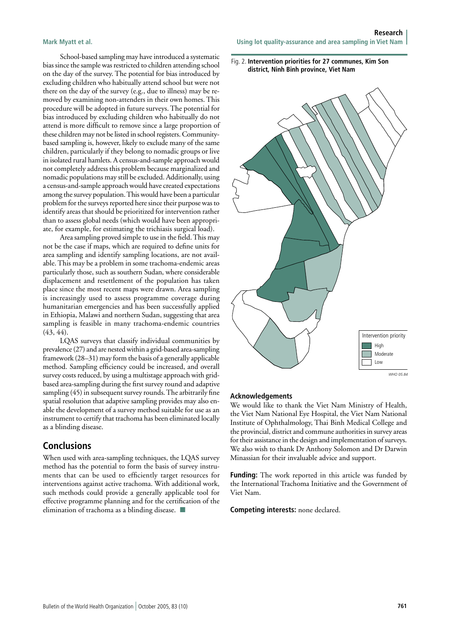School-based sampling may have introduced a systematic bias since the sample was restricted to children attending school on the day of the survey. The potential for bias introduced by excluding children who habitually attend school but were not there on the day of the survey (e.g., due to illness) may be removed by examining non-attenders in their own homes. This procedure will be adopted in future surveys. The potential for bias introduced by excluding children who habitually do not attend is more difficult to remove since a large proportion of these children may not be listed in school registers. Communitybased sampling is, however, likely to exclude many of the same children, particularly if they belong to nomadic groups or live in isolated rural hamlets. A census-and-sample approach would not completely address this problem because marginalized and nomadic populations may still be excluded. Additionally, using a census-and-sample approach would have created expectations among the survey population. This would have been a particular problem for the surveys reported here since their purpose was to identify areas that should be prioritized for intervention rather than to assess global needs (which would have been appropriate, for example, for estimating the trichiasis surgical load).

Area sampling proved simple to use in the field. This may not be the case if maps, which are required to define units for area sampling and identify sampling locations, are not available. This may be a problem in some trachoma-endemic areas particularly those, such as southern Sudan, where considerable displacement and resettlement of the population has taken place since the most recent maps were drawn. Area sampling is increasingly used to assess programme coverage during humanitarian emergencies and has been successfully applied in Ethiopia, Malawi and northern Sudan, suggesting that area sampling is feasible in many trachoma-endemic countries  $(43, 44)$ .

LQAS surveys that classify individual communities by prevalence (27) and are nested within a grid-based area-sampling framework (28–31) may form the basis of a generally applicable method. Sampling efficiency could be increased, and overall survey costs reduced, by using a multistage approach with gridbased area-sampling during the first survey round and adaptive sampling (45) in subsequent survey rounds. The arbitrarily fine spatial resolution that adaptive sampling provides may also enable the development of a survey method suitable for use as an instrument to certify that trachoma has been eliminated locally as a blinding disease.

# **Conclusions**

When used with area-sampling techniques, the LQAS survey method has the potential to form the basis of survey instruments that can be used to efficiently target resources for interventions against active trachoma. With additional work, such methods could provide a generally applicable tool for effective programme planning and for the certification of the elimination of trachoma as a blinding disease.  $\blacksquare$ 

Fig. 2. **Intervention priorities for 27 communes, Kim Son district, Ninh Binh province, Viet Nam**



#### **Acknowledgements**

We would like to thank the Viet Nam Ministry of Health, the Viet Nam National Eye Hospital, the Viet Nam National Institute of Ophthalmology, Thai Binh Medical College and the provincial, district and commune authorities in survey areas for their assistance in the design and implementation of surveys. We also wish to thank Dr Anthony Solomon and Dr Darwin Minassian for their invaluable advice and support.

**Funding:** The work reported in this article was funded by the International Trachoma Initiative and the Government of Viet Nam.

**Competing interests:** none declared.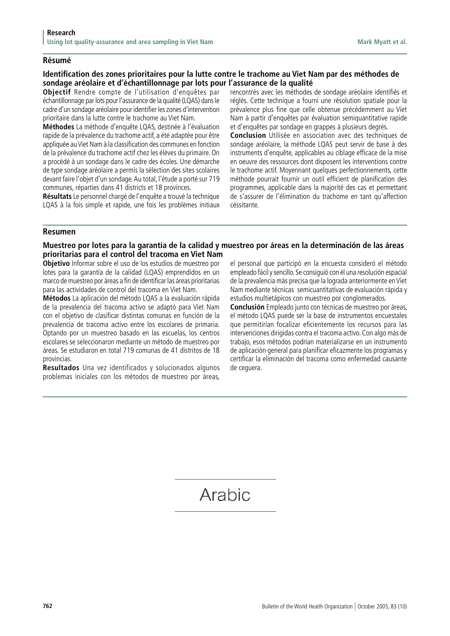### **Résumé**

# **Identification des zones prioritaires pour la lutte contre le trachome au Viet Nam par des méthodes de sondage aréolaire et d'échantillonnage par lots pour l'assurance de la qualité**

**Objectif** Rendre compte de l'utilisation d'enquêtes par échantillonnage par lots pour l'assurance de la qualité (LQAS) dans le cadre d'un sondage aréolaire pour identifier les zones d'intervention prioritaire dans la lutte contre le trachome au Viet Nam.

**Méthodes** La méthode d'enquête LQAS, destinée à l'évaluation rapide de la prévalence du trachome actif, a été adaptée pour être appliquée au Viet Nam à la classification des communes en fonction de la prévalence du trachome actif chez les élèves du primaire. On a procédé à un sondage dans le cadre des écoles. Une démarche de type sondage aréolaire a permis la sélection des sites scolaires devant faire l'objet d'un sondage. Au total, l'étude a porté sur 719 communes, réparties dans 41 districts et 18 provinces.

**Résultats** Le personnel chargé de l'enquête a trouvé la technique LQAS à la fois simple et rapide, une fois les problèmes initiaux rencontrés avec les méthodes de sondage aréolaire identifiés et réglés. Cette technique a fourni une résolution spatiale pour la prévalence plus fine que celle obtenue précédemment au Viet Nam à partir d'enquêtes par évaluation semiquantitative rapide et d'enquêtes par sondage en grappes à plusieurs degrés.

**Conclusion** Utilisée en association avec des techniques de sondage aréolaire, la méthode LQAS peut servir de base à des instruments d'enquête, applicables au ciblage efficace de la mise en oeuvre des ressources dont disposent les interventions contre le trachome actif. Moyennant quelques perfectionnements, cette méthode pourrait fournir un outil efficient de planification des programmes, applicable dans la majorité des cas et permettant de s'assurer de l'élimination du trachome en tant qu'affection céssitante.

#### **Resumen**

## **Muestreo por lotes para la garantía de la calidad y muestreo por áreas en la determinación de las áreas prioritarias para el control del tracoma en Viet Nam**

**Objetivo** Informar sobre el uso de los estudios de muestreo por lotes para la garantía de la calidad (LQAS) emprendidos en un marco de muestreo por áreas a fin de identificar las áreas prioritarias para las actividades de control del tracoma en Viet Nam.

**Métodos** La aplicación del método LQAS a la evaluación rápida de la prevalencia del tracoma activo se adaptó para Viet Nam con el objetivo de clasificar distintas comunas en función de la prevalencia de tracoma activo entre los escolares de primaria. Optando por un muestreo basado en las escuelas, los centros escolares se seleccionaron mediante un método de muestreo por áreas. Se estudiaron en total 719 comunas de 41 distritos de 18 provincias.

**Resultados** Una vez identificados y solucionados algunos problemas iniciales con los métodos de muestreo por áreas,

el personal que participó en la encuesta consideró el método empleado fácil y sencillo. Se consiguió con él una resolución espacial de la prevalencia más precisa que la lograda anteriormente en Viet Nam mediante técnicas semicuantitativas de evaluación rápida y estudios multietápicos con muestreo por conglomerados.

**Conclusión** Empleado junto con técnicas de muestreo por áreas, el método LQAS puede ser la base de instrumentos encuestales que permitirían focalizar eficientemente los recursos para las intervenciones dirigidas contra el tracoma activo. Con algo más de trabajo, esos métodos podrían materializarse en un instrumento de aplicación general para planificar eficazmente los programas y certificar la eliminación del tracoma como enfermedad causante de ceguera.

# Arabic